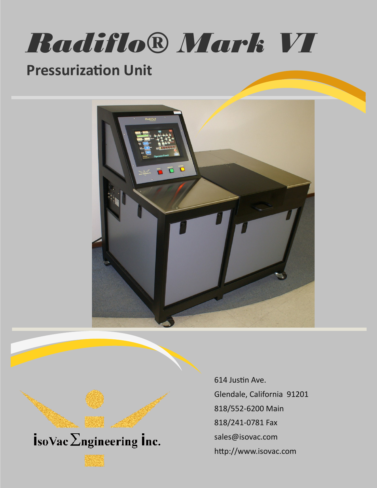

# **Pressurization Unit**





614 Justin Ave. Glendale, California 91201 818/552-6200 Main 818/241-0781 Fax sales@isovac.com http://www.isovac.com